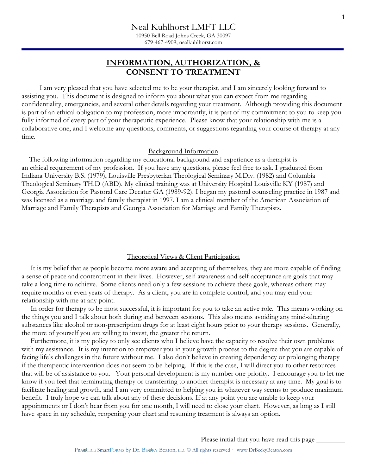10950 Bell Road Johns Creek, GA 30097 679-467-4909; nealkuhlhorst.com

# **INFORMATION, AUTHORIZATION, & CONSENT TO TREATMENT**

 I am very pleased that you have selected me to be your therapist, and I am sincerely looking forward to assisting you. This document is designed to inform you about what you can expect from me regarding confidentiality, emergencies, and several other details regarding your treatment. Although providing this document is part of an ethical obligation to my profession, more importantly, it is part of my commitment to you to keep you fully informed of every part of your therapeutic experience. Please know that your relationship with me is a collaborative one, and I welcome any questions, comments, or suggestions regarding your course of therapy at any time.

#### Background Information

 The following information regarding my educational background and experience as a therapist is an ethical requirement of my profession. If you have any questions, please feel free to ask. I graduated from Indiana University B.S. (1979), Louisville Presbyterian Theological Seminary M.Div. (1982) and Columbia Theological Seminary TH.D (ABD). My clinical training was at University Hospital Louisville KY (1987) and Georgia Association for Pastoral Care Decatur GA (1989-92). I began my pastoral counseling practice in 1987 and was licensed as a marriage and family therapist in 1997. I am a clinical member of the American Association of Marriage and Family Therapists and Georgia Association for Marriage and Family Therapists.

## Theoretical Views & Client Participation

 It is my belief that as people become more aware and accepting of themselves, they are more capable of finding a sense of peace and contentment in their lives. However, self-awareness and self-acceptance are goals that may take a long time to achieve. Some clients need only a few sessions to achieve these goals, whereas others may require months or even years of therapy. As a client, you are in complete control, and you may end your relationship with me at any point.

 In order for therapy to be most successful, it is important for you to take an active role. This means working on the things you and I talk about both during and between sessions. This also means avoiding any mind-altering substances like alcohol or non-prescription drugs for at least eight hours prior to your therapy sessions. Generally, the more of yourself you are willing to invest, the greater the return.

 Furthermore, it is my policy to only see clients who I believe have the capacity to resolve their own problems with my assistance. It is my intention to empower you in your growth process to the degree that you are capable of facing life's challenges in the future without me. I also don't believe in creating dependency or prolonging therapy if the therapeutic intervention does not seem to be helping. If this is the case, I will direct you to other resources that will be of assistance to you. Your personal development is my number one priority. I encourage you to let me know if you feel that terminating therapy or transferring to another therapist is necessary at any time. My goal is to facilitate healing and growth, and I am very committed to helping you in whatever way seems to produce maximum benefit. I truly hope we can talk about any of these decisions. If at any point you are unable to keep your appointments or I don't hear from you for one month, I will need to close your chart. However, as long as I still have space in my schedule, reopening your chart and resuming treatment is always an option.

Please initial that you have read this page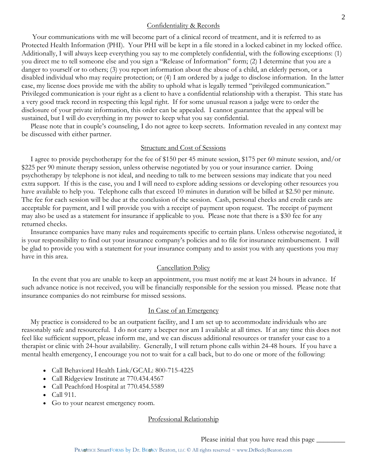#### Confidentiality & Records

 Your communications with me will become part of a clinical record of treatment, and it is referred to as Protected Health Information (PHI). Your PHI will be kept in a file stored in a locked cabinet in my locked office. Additionally, I will always keep everything you say to me completely confidential, with the following exceptions: (1) you direct me to tell someone else and you sign a "Release of Information" form; (2) I determine that you are a danger to yourself or to others; (3) you report information about the abuse of a child, an elderly person, or a disabled individual who may require protection; or (4) I am ordered by a judge to disclose information. In the latter case, my license does provide me with the ability to uphold what is legally termed "privileged communication." Privileged communication is your right as a client to have a confidential relationship with a therapist. This state has a very good track record in respecting this legal right. If for some unusual reason a judge were to order the disclosure of your private information, this order can be appealed. I cannot guarantee that the appeal will be sustained, but I will do everything in my power to keep what you say confidential.

 Please note that in couple's counseling, I do not agree to keep secrets. Information revealed in any context may be discussed with either partner.

#### Structure and Cost of Sessions

 I agree to provide psychotherapy for the fee of \$150 per 45 minute session, \$175 per 60 minute session, and/or \$225 per 90 minute therapy session, unless otherwise negotiated by you or your insurance carrier. Doing psychotherapy by telephone is not ideal, and needing to talk to me between sessions may indicate that you need extra support. If this is the case, you and I will need to explore adding sessions or developing other resources you have available to help you. Telephone calls that exceed 10 minutes in duration will be billed at \$2.50 per minute. The fee for each session will be due at the conclusion of the session. Cash, personal checks and credit cards are acceptable for payment, and I will provide you with a receipt of payment upon request. The receipt of payment may also be used as a statement for insurance if applicable to you. Please note that there is a \$30 fee for any returned checks.

 Insurance companies have many rules and requirements specific to certain plans. Unless otherwise negotiated, it is your responsibility to find out your insurance company's policies and to file for insurance reimbursement. I will be glad to provide you with a statement for your insurance company and to assist you with any questions you may have in this area.

## Cancellation Policy

 In the event that you are unable to keep an appointment, you must notify me at least 24 hours in advance. If such advance notice is not received, you will be financially responsible for the session you missed. Please note that insurance companies do not reimburse for missed sessions.

# In Case of an Emergency

 My practice is considered to be an outpatient facility, and I am set up to accommodate individuals who are reasonably safe and resourceful. I do not carry a beeper nor am I available at all times. If at any time this does not feel like sufficient support, please inform me, and we can discuss additional resources or transfer your case to a therapist or clinic with 24-hour availability. Generally, I will return phone calls within 24-48 hours. If you have a mental health emergency, I encourage you not to wait for a call back, but to do one or more of the following:

- Call Behavioral Health Link/GCAL: 800-715-4225
- Call Ridgeview Institute at 770.434.4567
- Call Peachford Hospital at 770.454.5589
- Call 911.
- Go to your nearest emergency room.

## Professional Relationship

Please initial that you have read this page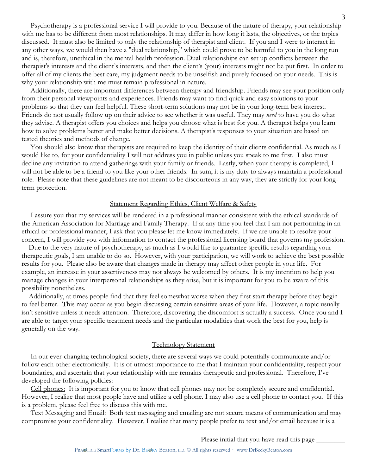Psychotherapy is a professional service I will provide to you. Because of the nature of therapy, your relationship with me has to be different from most relationships. It may differ in how long it lasts, the objectives, or the topics discussed. It must also be limited to only the relationship of therapist and client. If you and I were to interact in any other ways, we would then have a "dual relationship," which could prove to be harmful to you in the long run and is, therefore, unethical in the mental health profession. Dual relationships can set up conflicts between the therapist's interests and the client's interests, and then the client's (your) interests might not be put first. In order to offer all of my clients the best care, my judgment needs to be unselfish and purely focused on your needs. This is why your relationship with me must remain professional in nature.

 Additionally, there are important differences between therapy and friendship. Friends may see your position only from their personal viewpoints and experiences. Friends may want to find quick and easy solutions to your problems so that they can feel helpful. These short-term solutions may not be in your long-term best interest. Friends do not usually follow up on their advice to see whether it was useful. They may *need* to have you do what they advise. A therapist offers you choices and helps you choose what is best for you. A therapist helps you learn how to solve problems better and make better decisions. A therapist's responses to your situation are based on tested theories and methods of change.

 You should also know that therapists are required to keep the identity of their clients confidential. As much as I would like to, for your confidentiality I will not address you in public unless you speak to me first. I also must decline any invitation to attend gatherings with your family or friends. Lastly, when your therapy is completed, I will not be able to be a friend to you like your other friends. In sum, it is my duty to always maintain a professional role. Please note that these guidelines are not meant to be discourteous in any way, they are strictly for your longterm protection.

#### Statement Regarding Ethics, Client Welfare & Safety

 I assure you that my services will be rendered in a professional manner consistent with the ethical standards of the American Association for Marriage and Family Therapy. If at any time you feel that I am not performing in an ethical or professional manner, I ask that you please let me know immediately. If we are unable to resolve your concern, I will provide you with information to contact the professional licensing board that governs my profession.

 Due to the very nature of psychotherapy, as much as I would like to guarantee specific results regarding your therapeutic goals, I am unable to do so. However, with your participation, we will work to achieve the best possible results for you. Please also be aware that changes made in therapy may affect other people in your life. For example, an increase in your assertiveness may not always be welcomed by others. It is my intention to help you manage changes in your interpersonal relationships as they arise, but it is important for you to be aware of this possibility nonetheless.

 Additionally, at times people find that they feel somewhat worse when they first start therapy before they begin to feel better. This may occur as you begin discussing certain sensitive areas of your life. However, a topic usually isn't sensitive unless it needs attention. Therefore, discovering the discomfort is actually a success. Once you and I are able to target your specific treatment needs and the particular modalities that work the best for you, help is generally on the way.

# Technology Statement

 In our ever-changing technological society, there are several ways we could potentially communicate and/or follow each other electronically. It is of utmost importance to me that I maintain your confidentiality, respect your boundaries, and ascertain that your relationship with me remains therapeutic and professional. Therefore, I've developed the following policies:

 Cell phones: It is important for you to know that cell phones may not be completely secure and confidential. However, I realize that most people have and utilize a cell phone. I may also use a cell phone to contact you. If this is a problem, please feel free to discuss this with me.

 Text Messaging and Email: Both text messaging and emailing are not secure means of communication and may compromise your confidentiality. However, I realize that many people prefer to text and/or email because it is a

Please initial that you have read this page